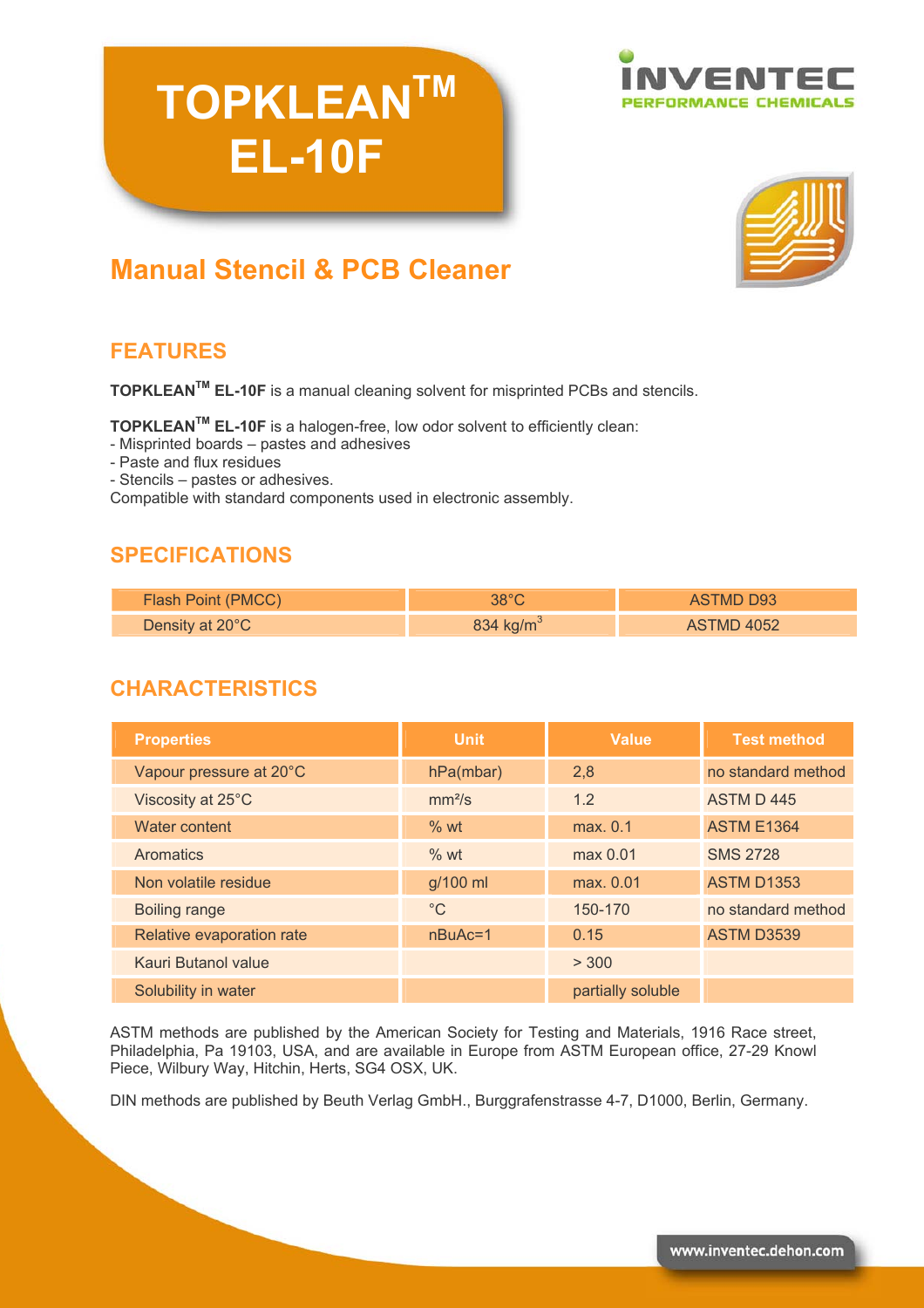# **TOPKLEANTM EL-10F**





# **Manual Stencil & PCB Cleaner**

# **FEATURES**

**TOPKLEANTM EL-10F** is a manual cleaning solvent for misprinted PCBs and stencils.

**TOPKLEANTM EL-10F** is a halogen-free, low odor solvent to efficiently clean:

- Misprinted boards – pastes and adhesives

- Paste and flux residues
- Stencils pastes or adhesives.

Compatible with standard components used in electronic assembly.

#### **SPECIFICATIONS**

| Flash Point (PMCC) | $38^{\circ}$ C        | ASTMD D93  |
|--------------------|-----------------------|------------|
| Density at 20°C    | 834 kg/m <sup>3</sup> | ASTMD 4052 |

## **CHARACTERISTICS**

| <b>Properties</b>          | <b>Unit</b>        | <b>Value</b>      | <b>Test method</b> |
|----------------------------|--------------------|-------------------|--------------------|
| Vapour pressure at 20°C    | hPa(mbar)          | 2,8               | no standard method |
| Viscosity at 25°C          | mm <sup>2</sup> /s | 1.2               | ASTM D445          |
| Water content              | % wt               | max. 0.1          | <b>ASTM E1364</b>  |
| Aromatics                  | %wt                | max 0.01          | <b>SMS 2728</b>    |
| Non volatile residue       | g/100 ml           | max. 0.01         | <b>ASTM D1353</b>  |
| <b>Boiling range</b>       | $^{\circ}C$        | 150-170           | no standard method |
| Relative evaporation rate  | $nBuAc=1$          | 0.15              | <b>ASTM D3539</b>  |
| <b>Kauri Butanol value</b> |                    | > 300             |                    |
| Solubility in water        |                    | partially soluble |                    |

ASTM methods are published by the American Society for Testing and Materials, 1916 Race street, Philadelphia, Pa 19103, USA, and are available in Europe from ASTM European office, 27-29 Knowl Piece, Wilbury Way, Hitchin, Herts, SG4 OSX, UK.

DIN methods are published by Beuth Verlag GmbH., Burggrafenstrasse 4-7, D1000, Berlin, Germany.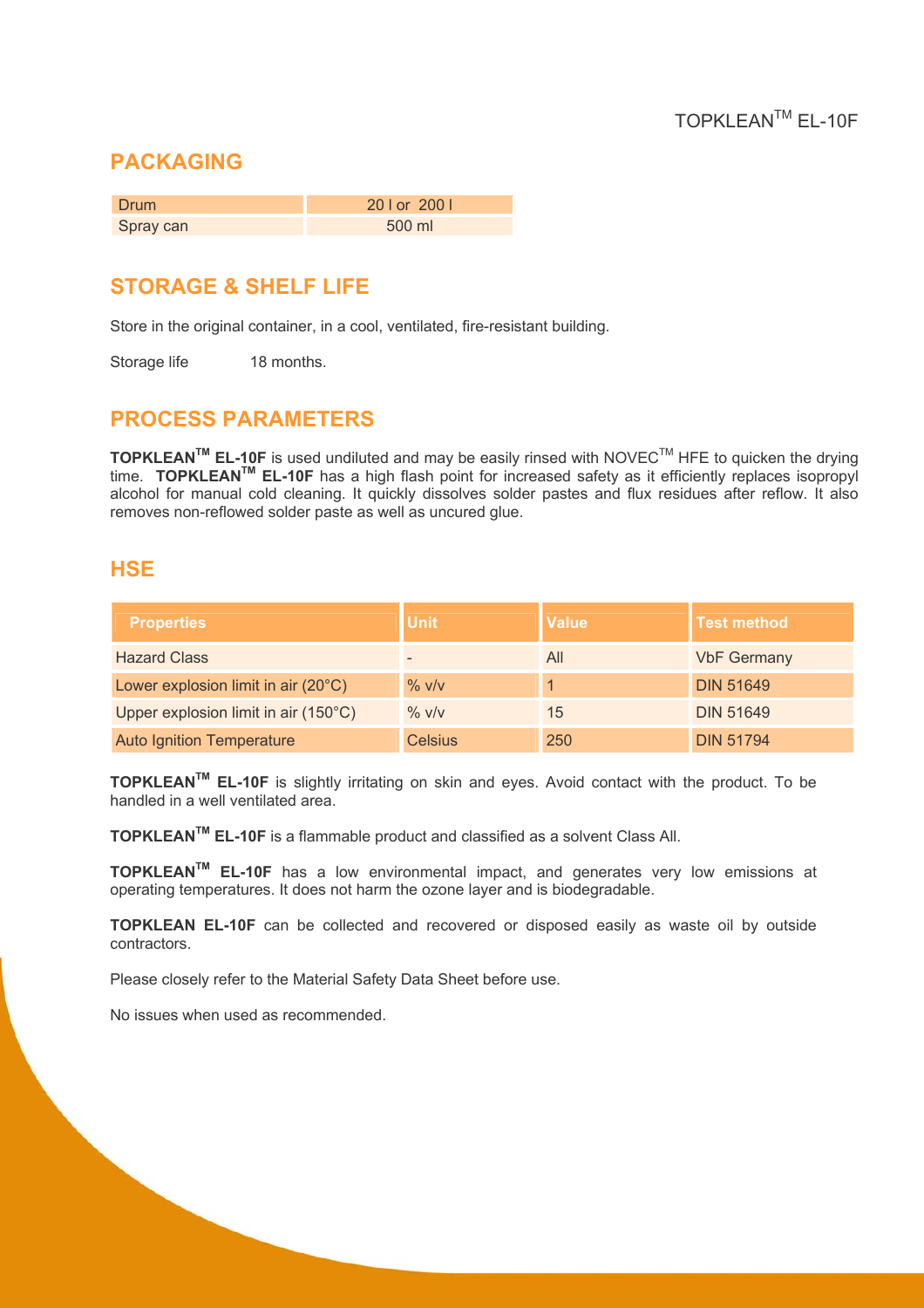#### **PACKAGING**

| <b>Drum</b> | 20   or 200      |
|-------------|------------------|
| Spray can   | $500 \text{ ml}$ |

### **STORAGE & SHELF LIFE**

Store in the original container, in a cool, ventilated, fire-resistant building.

Storage life 18 months.

#### **PROCESS PARAMETERS**

**TOPKLEANTM EL-10F** is used undiluted and may be easily rinsed with NOVECTM HFE to quicken the drying time. **TOPKLEANTM EL-10F** has a high flash point for increased safety as it efficiently replaces isopropyl alcohol for manual cold cleaning. It quickly dissolves solder pastes and flux residues after reflow. It also removes non-reflowed solder paste as well as uncured glue.

#### **HSE**

| <b>Properties</b>                            | <b>Unit</b>    | <b>Value</b> | <b>Test method</b> |
|----------------------------------------------|----------------|--------------|--------------------|
| <b>Hazard Class</b>                          |                | All          | <b>VbF Germany</b> |
| Lower explosion limit in air $(20^{\circ}C)$ | $\%$ v/v       |              | <b>DIN 51649</b>   |
| Upper explosion limit in air (150°C)         | $\%$ V/V       | 15           | <b>DIN 51649</b>   |
| <b>Auto Ignition Temperature</b>             | <b>Celsius</b> | 250          | <b>DIN 51794</b>   |

**TOPKLEANTM EL-10F** is slightly irritating on skin and eyes. Avoid contact with the product. To be handled in a well ventilated area.

**TOPKLEANTM EL-10F** is a flammable product and classified as a solvent Class All.

**TOPKLEANTM EL-10F** has a low environmental impact, and generates very low emissions at operating temperatures. It does not harm the ozone layer and is biodegradable.

**TOPKLEAN EL-10F** can be collected and recovered or disposed easily as waste oil by outside contractors.

Please closely refer to the Material Safety Data Sheet before use.

No issues when used as recommended.